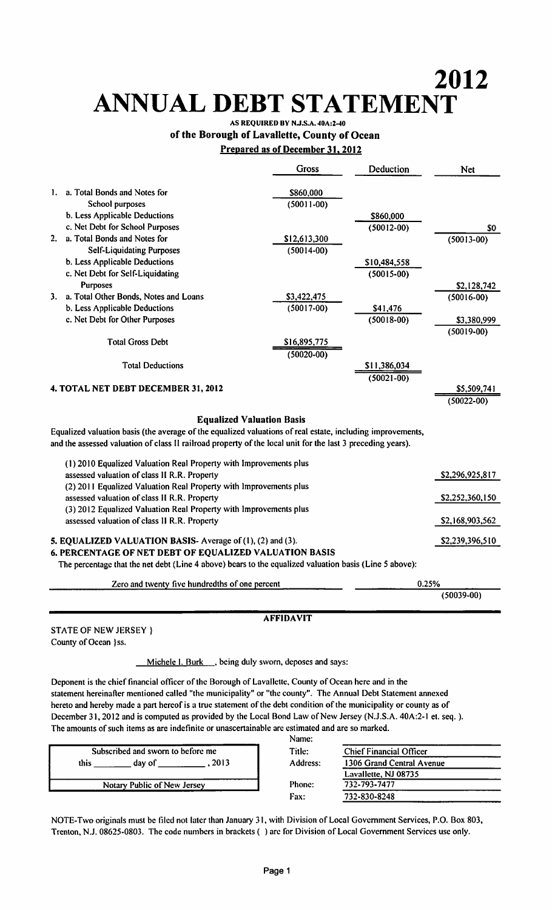# 2012 ANNUAL DEBT STATEMENT

# of the Borough of Lavallette, County of Ocean Prepared as of December 31.2012

|    |                                                                                                             | <b>Gross</b>   | Deduction      | <b>Net</b>      |
|----|-------------------------------------------------------------------------------------------------------------|----------------|----------------|-----------------|
| 1. | a. Total Bonds and Notes for                                                                                | \$860,000      |                |                 |
|    | School purposes                                                                                             | $(50011 - 00)$ |                |                 |
|    | b. Less Applicable Deductions                                                                               |                | \$860,000      |                 |
|    | c. Net Debt for School Purposes                                                                             |                | $(50012 - 00)$ | SO.             |
| 2. | a. Total Bonds and Notes for                                                                                | \$12,613,300   |                | $(50013 - 00)$  |
|    | <b>Self-Liquidating Purposes</b>                                                                            | $(50014 - 00)$ |                |                 |
|    | b. Less Applicable Deductions                                                                               |                | \$10,484,558   |                 |
|    | c. Net Debt for Self-Liquidating                                                                            |                | $(50015-00)$   |                 |
|    | Purposes                                                                                                    |                |                | \$2,128,742     |
| 3. | a. Total Other Bonds, Notes and Loans                                                                       | \$3,422,475    |                | $(50016 - 00)$  |
|    | b. Less Applicable Deductions                                                                               | $(50017 - 00)$ | \$41,476       |                 |
|    | c. Net Debt for Other Purposes                                                                              |                | $(50018 - 00)$ | \$3,380,999     |
|    |                                                                                                             |                |                | $(50019-00)$    |
|    | <b>Total Gross Debt</b>                                                                                     | \$16,895,775   |                |                 |
|    |                                                                                                             | $(50020 - 00)$ |                |                 |
|    | <b>Total Deductions</b>                                                                                     |                | \$11,386,034   |                 |
|    |                                                                                                             |                | $(50021 - 00)$ |                 |
|    | 4. TOTAL NET DEBT DECEMBER 31, 2012                                                                         |                |                | \$5,509,741     |
|    |                                                                                                             |                |                | $(50022 - 00)$  |
|    | <b>Equalized Valuation Basis</b>                                                                            |                |                |                 |
|    | Equalized valuation basis (the average of the equalized valuations of real estate, including improvements,  |                |                |                 |
|    | and the assessed valuation of class II railroad property of the local unit for the last 3 preceding years). |                |                |                 |
|    |                                                                                                             |                |                |                 |
|    | (1) 2010 Equalized Valuation Real Property with Improvements plus                                           |                |                |                 |
|    | assessed valuation of class II R.R. Property                                                                |                |                | \$2,296,925,817 |
|    | (2) 2011 Equalized Valuation Real Property with Improvements plus                                           |                |                |                 |
|    | assessed valuation of class II R.R. Property                                                                |                |                | \$2,252,360,150 |
|    | (3) 2012 Equalized Valuation Real Property with Improvements plus                                           |                |                |                 |
|    | assessed valuation of class II R.R. Property                                                                |                |                | \$2,168,903,562 |
|    |                                                                                                             |                |                |                 |
|    | 5. EQUALIZED VALUATION BASIS- Average of (1), (2) and (3).                                                  |                |                | \$2,239,396,510 |
|    | 6. PERCENTAGE OF NET DEBT OF EQUALIZED VALUATION BASIS                                                      |                |                |                 |
|    | The percentage that the net debt (Line 4 above) bears to the equalized valuation basis (Line 5 above):      |                |                |                 |
|    | Zero and twenty five hundredths of one percent                                                              |                |                | 0.25%           |
|    |                                                                                                             |                |                | $(50039 - 00)$  |
|    |                                                                                                             |                |                |                 |

#### AFFIDAVIT

STATE OF NEW JERSEY} County of Ocean }ss.

Michele I. Burk ..., being duly sworn, deposes and says:

Deponent is the chief financial officer of the Borough of Lavallette, County of Ocean here and in the statement hereinafter mentioned called "the municipality" or "the county". The Annual Debt Statement annexed hereto and hereby made a part hereof is a true statement of the debt condition of the municipality or county as of December 31,2012 and is computed as provided by the Local Bond Law of New Jersey (N.J.S.A. 40A:2-l et. seq.). The amounts of such items as are indefinite or unascertainable arc estimated and are so marked. Name:

|                                   | .             |
|-----------------------------------|---------------|
| Subscribed and sworn to before me | Title:        |
| . 2013<br>this<br>day of          | Address:      |
| Notary Public of New Jersey       | <b>Phone:</b> |
|                                   | <b>Fax:</b>   |

| 1C.   |                                |  |
|-------|--------------------------------|--|
| ።     | <b>Chief Financial Officer</b> |  |
| ress: | 1306 Grand Central Avenue      |  |
|       | Lavallette, NJ 08735           |  |
| ne:   | 732-793-7477                   |  |
|       | 732-830-8248                   |  |
|       |                                |  |

NOTE-Two originals must be filed not later than January 31, with Division of Local Government Services, P.O. Box 803, Trenton, N.J. 08625-0803. The code numbers in brackets ( ) are for Division of Local Government Services use only.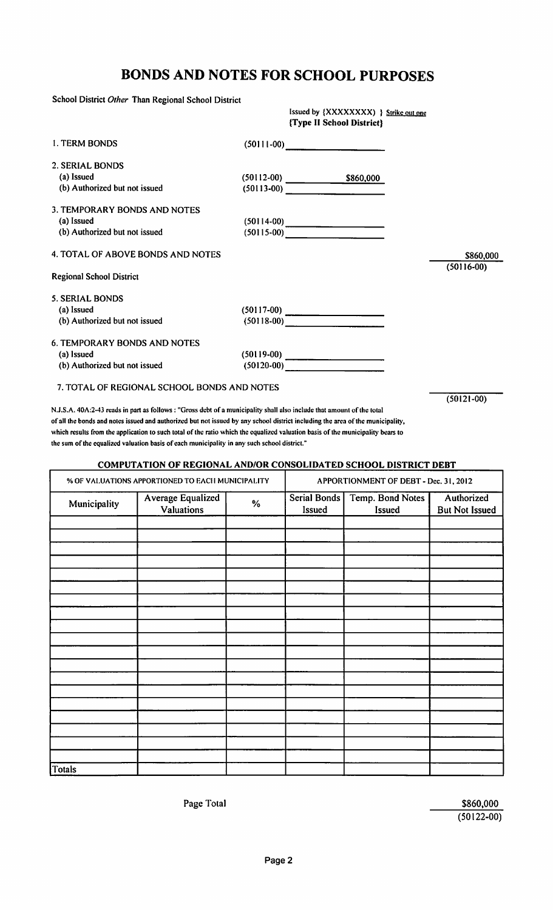# BONDS AND NOTES FOR SCHOOL PURPOSES

School District Other Than Regional School District

Issued by {XXXXXXXX) } Strike out one {Type II School District}

| <b>I. TERM BONDS</b>                | $(50111-00)$                        |           |              |
|-------------------------------------|-------------------------------------|-----------|--------------|
| 2. SERIAL BONDS                     |                                     |           |              |
| (a) Issued                          | $(50112-00)$                        | \$860,000 |              |
| (b) Authorized but not issued       |                                     |           |              |
| 3. TEMPORARY BONDS AND NOTES        |                                     |           |              |
| (a) Issued                          | $(50114-00)$                        |           |              |
| (b) Authorized but not issued       | $(50115-00)$ $\qquad \qquad \qquad$ |           |              |
| 4. TOTAL OF ABOVE BONDS AND NOTES   |                                     |           | \$860,000    |
| <b>Regional School District</b>     |                                     |           | $(50116-00)$ |
| <b>5. SERIAL BONDS</b>              |                                     |           |              |
| (a) Issued                          |                                     |           |              |
| (b) Authorized but not issued       |                                     |           |              |
| <b>6. TEMPORARY BONDS AND NOTES</b> |                                     |           |              |
| (a) Issued                          |                                     |           |              |
| (b) Authorized but not issued       | $(50120-00)$                        |           |              |
|                                     |                                     |           |              |

7. TOTAL OF REGIONAL SCHOOL BONDS AND NOTES

(50121-00)

N.J.S.A. 40A:2-43 reads in part as follows : "Gross debt of a municipality shall also include that amount of the total of all the bonds and notes issued and authorized but not issued by any school district including the area ofthc municipality, which results from the application to such total of the ratio which the equalized valuation basis of the municipality bears to the sum of the equalized valuation basis of each municipality in any such school district."

#### **COMPUTATION OF REGIONAL AND/OR CONSOLIDATED SCHOOL DISTRICT DEBT**

|              | % OF VALUATIONS APPORTIONED TO EACH MUNICIPALITY |      |                        | APPORTIONMENT OF DEBT - Dec. 31, 2012 |                                     |  |  |
|--------------|--------------------------------------------------|------|------------------------|---------------------------------------|-------------------------------------|--|--|
| Municipality | <b>Average Equalized</b><br>Valuations           | $\%$ | Serial Bonds<br>Issued | Temp. Bond Notes<br>Issued            | Authorized<br><b>But Not Issued</b> |  |  |
|              |                                                  |      |                        |                                       |                                     |  |  |
|              |                                                  |      |                        |                                       |                                     |  |  |
|              |                                                  |      |                        |                                       |                                     |  |  |
|              |                                                  |      |                        |                                       |                                     |  |  |
|              |                                                  |      |                        |                                       |                                     |  |  |
|              |                                                  |      |                        |                                       |                                     |  |  |
|              |                                                  |      |                        |                                       |                                     |  |  |
|              |                                                  |      |                        |                                       |                                     |  |  |
|              |                                                  |      |                        |                                       |                                     |  |  |
|              |                                                  |      |                        |                                       |                                     |  |  |
|              |                                                  |      |                        |                                       |                                     |  |  |
|              |                                                  |      |                        |                                       |                                     |  |  |
|              |                                                  |      |                        |                                       |                                     |  |  |
|              |                                                  |      |                        |                                       |                                     |  |  |
|              |                                                  |      |                        |                                       |                                     |  |  |
|              |                                                  |      |                        |                                       |                                     |  |  |
|              |                                                  |      |                        |                                       |                                     |  |  |
|              |                                                  |      |                        |                                       |                                     |  |  |
| Totals       |                                                  |      |                        |                                       |                                     |  |  |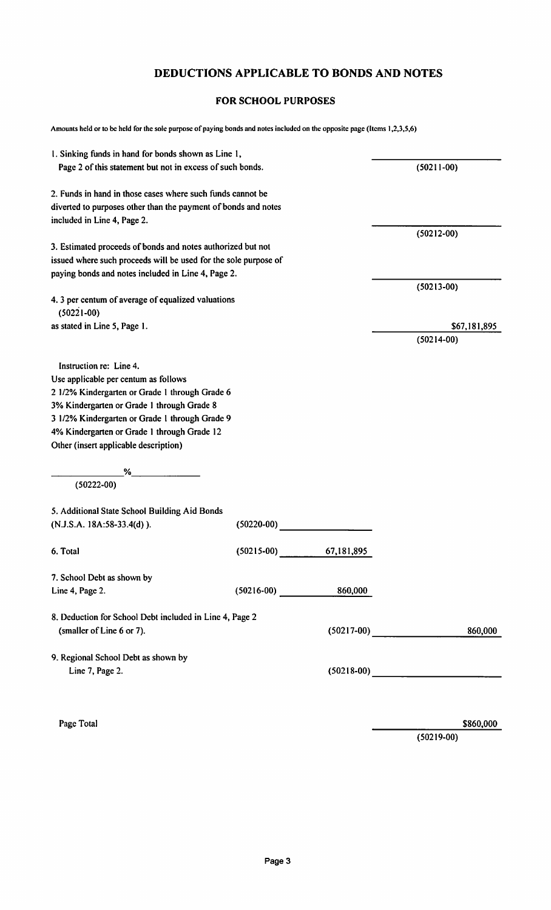#### DEDUCTIONS APPLICABLE TO BONDS AND NOTES

#### FOR SCHOOL PURPOSES

Amounts held or to be held for the sole purpose of paying bonds and notes included on the opposite page (Items 1,2,3,5,6)

| 1. Sinking funds in hand for bonds shown as Line 1,                  |              |                      |                |
|----------------------------------------------------------------------|--------------|----------------------|----------------|
| Page 2 of this statement but not in excess of such bonds.            |              |                      | $(50211-00)$   |
| 2. Funds in hand in those cases where such funds cannot be           |              |                      |                |
| diverted to purposes other than the payment of bonds and notes       |              |                      |                |
| included in Line 4, Page 2.                                          |              |                      |                |
|                                                                      |              |                      | $(50212 - 00)$ |
| 3. Estimated proceeds of bonds and notes authorized but not          |              |                      |                |
| issued where such proceeds will be used for the sole purpose of      |              |                      |                |
| paying bonds and notes included in Line 4, Page 2.                   |              |                      |                |
|                                                                      |              |                      | $(50213 - 00)$ |
| 4. 3 per centum of average of equalized valuations<br>$(50221 - 00)$ |              |                      |                |
| as stated in Line 5, Page 1.                                         |              |                      | \$67,181,895   |
|                                                                      |              |                      | $(50214-00)$   |
|                                                                      |              |                      |                |
| Instruction re: Line 4.                                              |              |                      |                |
| Use applicable per centum as follows                                 |              |                      |                |
| 2 1/2% Kindergarten or Grade 1 through Grade 6                       |              |                      |                |
| 3% Kindergarten or Grade 1 through Grade 8                           |              |                      |                |
| 3 1/2% Kindergarten or Grade 1 through Grade 9                       |              |                      |                |
| 4% Kindergarten or Grade 1 through Grade 12                          |              |                      |                |
| Other (insert applicable description)                                |              |                      |                |
|                                                                      |              |                      |                |
| %                                                                    |              |                      |                |
| $(50222 - 00)$                                                       |              |                      |                |
| 5. Additional State School Building Aid Bonds                        |              |                      |                |
| (N.J.S.A. 18A:58-33.4(d)).                                           | $(50220-00)$ |                      |                |
| 6. Total                                                             | $(50215-00)$ | 67,181,895           |                |
| 7. School Debt as shown by                                           |              |                      |                |
| Line 4, Page 2.                                                      |              | $(50216-00)$ 860,000 |                |
| 8. Deduction for School Debt included in Line 4, Page 2              |              |                      |                |
| (smaller of Line 6 or 7).                                            |              | $(50217-00)$         | 860,000        |
| 9. Regional School Debt as shown by                                  |              |                      |                |
| Line 7, Page 2.                                                      |              |                      |                |
|                                                                      |              |                      |                |

Page Total \$860,000 \$860,000 \$860,000 \$860,000 \$860,000 \$860,000 \$860,000 \$860,000 \$860,000 \$860,000 \$860,000 \$

(50219-00)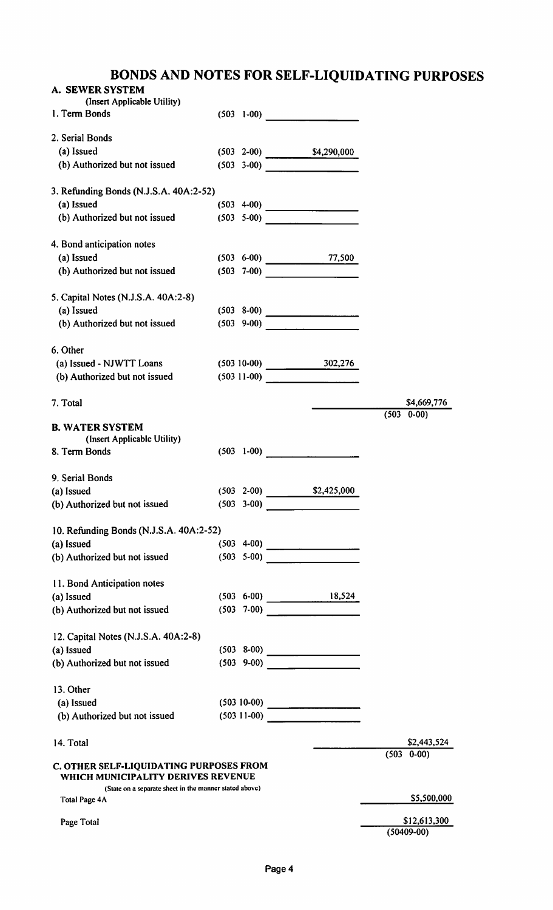# BONDS AND NOTES FOR SELF-LIQUIDATING PURPOSES

| A. SEWER SYSTEM                                                                |                 |                            |                                |
|--------------------------------------------------------------------------------|-----------------|----------------------------|--------------------------------|
| (Insert Applicable Utility)<br>1. Term Bonds                                   | $(503 \t 1-00)$ |                            |                                |
| 2. Serial Bonds                                                                |                 |                            |                                |
| (a) Issued                                                                     |                 | $(503 \t2-00)$ \$4,290,000 |                                |
| (b) Authorized but not issued                                                  |                 |                            |                                |
| 3. Refunding Bonds (N.J.S.A. 40A:2-52)                                         |                 |                            |                                |
| (a) Issued                                                                     |                 |                            |                                |
| (b) Authorized but not issued                                                  |                 | $(503 \t 5-00)$            |                                |
| 4. Bond anticipation notes                                                     |                 |                            |                                |
| (a) Issued                                                                     |                 | $(503 \t 6-00)$ 77,500     |                                |
| (b) Authorized but not issued                                                  |                 |                            |                                |
| 5. Capital Notes (N.J.S.A. 40A:2-8)                                            |                 |                            |                                |
| (a) Issued                                                                     |                 |                            |                                |
| (b) Authorized but not issued                                                  |                 | $(503 \t 9-00)$            |                                |
| 6. Other                                                                       |                 |                            |                                |
| (a) Issued - NJWTT Loans                                                       |                 | $(503 10-00)$ 302,276      |                                |
| (b) Authorized but not issued                                                  |                 |                            |                                |
| 7. Total                                                                       |                 |                            | \$4,669,776                    |
| <b>B. WATER SYSTEM</b><br>(Insert Applicable Utility)                          |                 |                            | $(503 \t 0-00)$                |
| 8. Term Bonds                                                                  |                 | $(503 \t 1-00)$            |                                |
| 9. Serial Bonds                                                                |                 |                            |                                |
| (a) Issued                                                                     | $(503 \t 2-00)$ | \$2,425,000                |                                |
| (b) Authorized but not issued                                                  |                 |                            |                                |
| 10. Refunding Bonds (N.J.S.A. 40A:2-52)                                        |                 |                            |                                |
| (a) Issued                                                                     |                 |                            |                                |
| (b) Authorized but not issued                                                  |                 |                            |                                |
| 11. Bond Anticipation notes                                                    |                 |                            |                                |
| (a) Issued                                                                     |                 | $(503 \t 6-00)$ 18,524     |                                |
| (b) Authorized but not issued                                                  |                 | $(503 \t 7-00)$            |                                |
| 12. Capital Notes (N.J.S.A. 40A:2-8)                                           |                 |                            |                                |
| (a) Issued                                                                     |                 |                            |                                |
| (b) Authorized but not issued                                                  |                 | $(503 \t 9-00)$            |                                |
| 13. Other                                                                      |                 |                            |                                |
| (a) Issued                                                                     |                 |                            |                                |
| (b) Authorized but not issued                                                  |                 | $(503 11-00)$              |                                |
| 14. Total                                                                      |                 |                            | \$2,443,524<br>$(503 \t 0-00)$ |
| C. OTHER SELF-LIQUIDATING PURPOSES FROM<br>WHICH MUNICIPALITY DERIVES REVENUE  |                 |                            |                                |
| (State on a separate sheet in the manner stated above)<br><b>Total Page 4A</b> |                 |                            | \$5,500,000                    |
| Page Total                                                                     |                 |                            | \$12,613,300<br>$(50409-00)$   |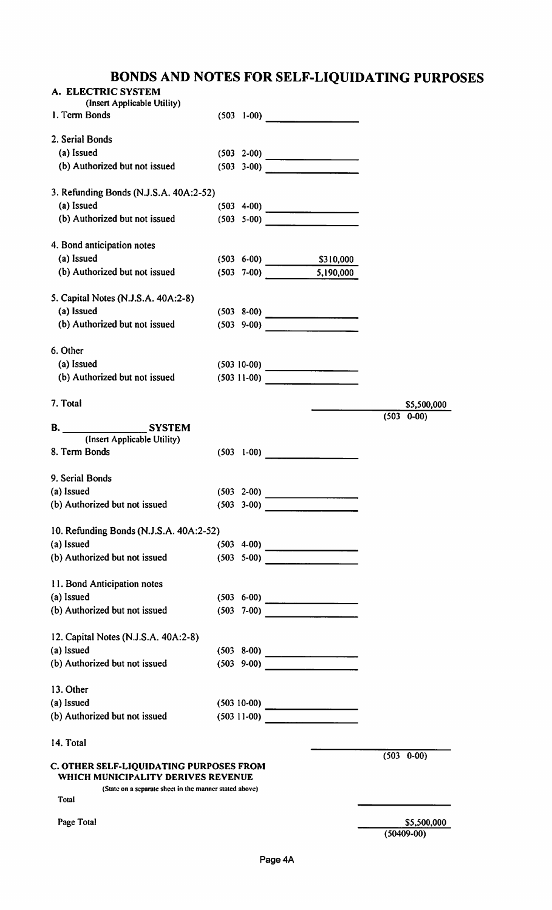# BONDS AND NOTES FOR SELF-LIQUIDATING PURPOSES

| A. ELECTRIC SYSTEM                                                                                                                      |                 |                                                                                                    |                 |
|-----------------------------------------------------------------------------------------------------------------------------------------|-----------------|----------------------------------------------------------------------------------------------------|-----------------|
| (Insert Applicable Utility)<br>1. Term Bonds                                                                                            |                 | $(503 \t1-00)$                                                                                     |                 |
| 2. Serial Bonds                                                                                                                         |                 |                                                                                                    |                 |
| (a) Issued                                                                                                                              |                 |                                                                                                    |                 |
| (b) Authorized but not issued                                                                                                           |                 | $(503 \t 3-00)$                                                                                    |                 |
| 3. Refunding Bonds (N.J.S.A. 40A:2-52)                                                                                                  |                 |                                                                                                    |                 |
| (a) Issued                                                                                                                              |                 | $(503 \t 4-00)$                                                                                    |                 |
| (b) Authorized but not issued                                                                                                           |                 | $(503 \t 5-00)$                                                                                    |                 |
| 4. Bond anticipation notes                                                                                                              |                 |                                                                                                    |                 |
| (a) Issued                                                                                                                              |                 | $(503 \t 6-00)$ \$310,000                                                                          |                 |
| (b) Authorized but not issued                                                                                                           |                 | $(503 \t 7-00)$ 5,190,000                                                                          |                 |
| 5. Capital Notes (N.J.S.A. 40A:2-8)                                                                                                     |                 |                                                                                                    |                 |
| (a) Issued                                                                                                                              |                 |                                                                                                    |                 |
| (b) Authorized but not issued                                                                                                           |                 | $(503 \t 9-00)$                                                                                    |                 |
| 6. Other                                                                                                                                |                 |                                                                                                    |                 |
| (a) Issued                                                                                                                              |                 |                                                                                                    |                 |
| (b) Authorized but not issued                                                                                                           |                 | $(503 \ 11-00)$ $\frac{2000 \ 11-000}$ $\frac{2000 \ 11-000}$ $\frac{2000 \ 11-000}{200 \ 11-000}$ |                 |
| 7. Total                                                                                                                                |                 |                                                                                                    | \$5,500,000     |
| B. SYSTEM                                                                                                                               |                 |                                                                                                    | $(503 \t 0-00)$ |
| (Insert Applicable Utility)                                                                                                             |                 |                                                                                                    |                 |
| 8. Term Bonds                                                                                                                           |                 | $(503 \t 1-00)$                                                                                    |                 |
| 9. Serial Bonds                                                                                                                         |                 |                                                                                                    |                 |
| (a) Issued                                                                                                                              | $(503 \t 2-00)$ |                                                                                                    |                 |
| (b) Authorized but not issued                                                                                                           |                 | $(503 \t3-00)$                                                                                     |                 |
| 10. Refunding Bonds (N.J.S.A. 40A:2-52)                                                                                                 |                 |                                                                                                    |                 |
| (a) Issued                                                                                                                              |                 |                                                                                                    |                 |
| (b) Authorized but not issued                                                                                                           |                 | $(503 \t 5-00)$                                                                                    |                 |
| 11. Bond Anticipation notes                                                                                                             |                 |                                                                                                    |                 |
| (a) Issued                                                                                                                              |                 |                                                                                                    |                 |
| (b) Authorized but not issued                                                                                                           |                 |                                                                                                    |                 |
| 12. Capital Notes (N.J.S.A. 40A:2-8)                                                                                                    |                 |                                                                                                    |                 |
| (a) Issued                                                                                                                              |                 |                                                                                                    |                 |
| (b) Authorized but not issued                                                                                                           |                 |                                                                                                    |                 |
| 13. Other                                                                                                                               |                 |                                                                                                    |                 |
| (a) Issued                                                                                                                              |                 |                                                                                                    |                 |
| (b) Authorized but not issued                                                                                                           |                 | $(503 11-00)$                                                                                      |                 |
| 14. Total                                                                                                                               |                 |                                                                                                    |                 |
| C. OTHER SELF-LIQUIDATING PURPOSES FROM<br>WHICH MUNICIPALITY DERIVES REVENUE<br>(State on a separate sheet in the manner stated above) |                 |                                                                                                    | $(503 \t 0-00)$ |
| Total                                                                                                                                   |                 |                                                                                                    |                 |
| Page Total                                                                                                                              |                 |                                                                                                    | \$5,500,000     |
|                                                                                                                                         |                 |                                                                                                    | $(50409-00)$    |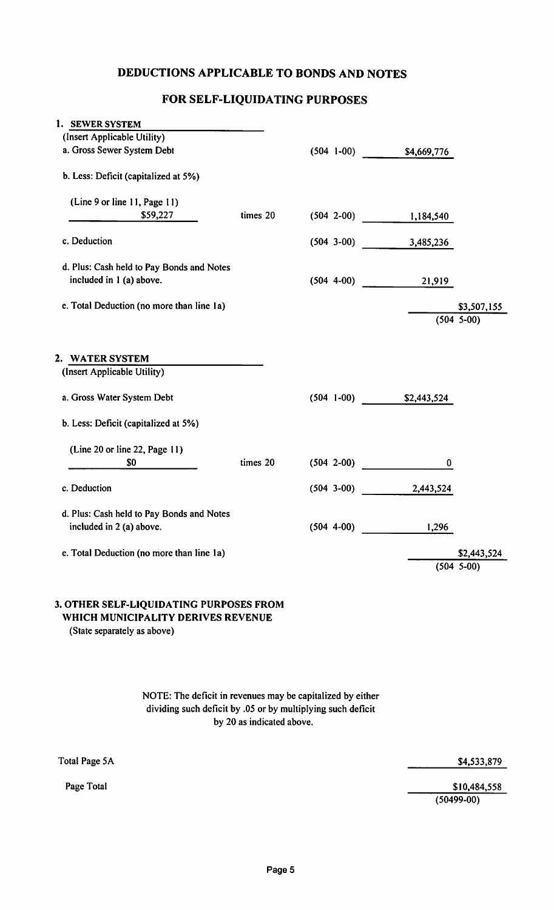#### DEDUCTIONS APPLICABLE TO BONDS AND NOTES

#### FOR SELF-LIQUIDATING PURPOSES

| 1. SEWER SYSTEM                           |          |                |                           |              |
|-------------------------------------------|----------|----------------|---------------------------|--------------|
| (Insert Applicable Utility)               |          |                |                           |              |
| a. Gross Sewer System Debt                |          |                | $(504 1-00)$ \$4,669,776  |              |
| b. Less: Deficit (capitalized at 5%)      |          |                |                           |              |
| (Line 9 or line 11, Page 11)              |          |                |                           |              |
| \$59,227                                  | times 20 |                | $(504 2-00)$ 1,184,540    |              |
| c. Deduction                              |          |                | $(504 \t3-00)$ 3,485,236  |              |
| d. Plus: Cash held to Pay Bonds and Notes |          |                |                           |              |
| included in 1 (a) above.                  |          |                | $(504 4-00)$<br>21,919    |              |
| e. Total Deduction (no more than line 1a) |          |                |                           | \$3,507,155  |
|                                           |          |                |                           | $(504 5-00)$ |
| 2. WATER SYSTEM                           |          |                |                           |              |
| (Insert Applicable Utility)               |          |                |                           |              |
| a. Gross Water System Debt                |          |                | $(504 1-00)$ \$2,443,524  |              |
| b. Less: Deficit (capitalized at 5%)      |          |                |                           |              |
| (Line 20 or line 22, Page 11)             |          |                |                           |              |
| \$0                                       | times 20 | $(504 \t2-00)$ | $\bf{0}$                  |              |
| c. Deduction                              |          |                | $(504 \t 3-00)$ 2,443,524 |              |
| d. Plus: Cash held to Pay Bonds and Notes |          |                |                           |              |
| included in 2 (a) above.                  |          |                | $(504 \t 4-00)$<br>1,296  |              |
| e. Total Deduction (no more than line 1a) |          |                |                           | \$2,443,524  |
|                                           |          |                |                           | $(504 5-00)$ |
|                                           |          |                |                           |              |

#### 3. OTHER SELF-LIQUIDATING PURPOSES FROM WHICH MUNICIPALITY DERIVES REVENUE

(State separately as above)

#### NOTE: The deficit in revenues may be capitalized by either dividing such deficit by .05 or by multiplying such deficit by 20 as indicated above.

Total Page 5A

Page Total

\$4,533,879

\$10,484,558 (50499-00)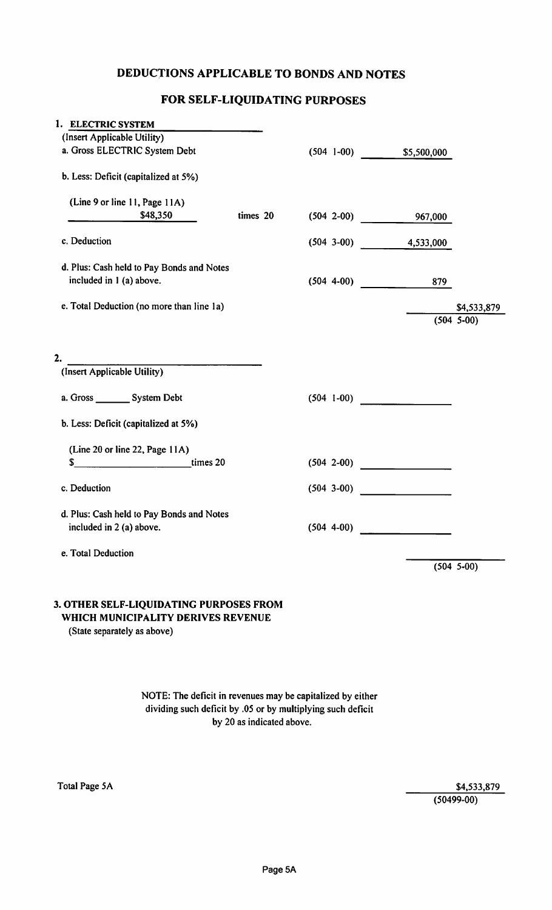### DEDUCTIONS APPLICABLE TO BONDS AND NOTES

# FOR SELF-LIQUIDATING PURPOSES

| 1. ELECTRIC SYSTEM                                                                                                  |          |                |                           |                             |
|---------------------------------------------------------------------------------------------------------------------|----------|----------------|---------------------------|-----------------------------|
| (Insert Applicable Utility)                                                                                         |          |                |                           |                             |
| a. Gross ELECTRIC System Debt                                                                                       |          |                | $(504 1-00)$ \$5,500,000  |                             |
| b. Less: Deficit (capitalized at 5%)                                                                                |          |                |                           |                             |
| (Line 9 or line 11, Page 11A)                                                                                       |          |                |                           |                             |
| $$48,350$ __                                                                                                        | times 20 |                | $(504 \t2-00)$<br>967,000 |                             |
| c. Deduction                                                                                                        |          |                | $(504 \t 3-00)$ 4,533,000 |                             |
| d. Plus: Cash held to Pay Bonds and Notes                                                                           |          |                |                           |                             |
| included in 1 (a) above.                                                                                            |          |                | $(504 \t 4-00)$<br>879    |                             |
|                                                                                                                     |          |                |                           |                             |
| e. Total Deduction (no more than line 1a)                                                                           |          |                |                           | \$4,533,879<br>$(504 5-00)$ |
|                                                                                                                     |          |                |                           |                             |
|                                                                                                                     |          |                |                           |                             |
| 2.                                                                                                                  |          |                |                           |                             |
| (Insert Applicable Utility)                                                                                         |          |                |                           |                             |
| a. Gross __________ System Debt                                                                                     |          | $(504 \t1-00)$ |                           |                             |
| b. Less: Deficit (capitalized at 5%)                                                                                |          |                |                           |                             |
| (Line 20 or line 22, Page 11A)                                                                                      |          |                |                           |                             |
| $\frac{1}{2}$ times 20<br>\$                                                                                        |          | $(504 2-00)$   |                           |                             |
|                                                                                                                     |          |                |                           |                             |
| c. Deduction                                                                                                        |          | $(504 3-00)$   |                           |                             |
| d. Plus: Cash held to Pay Bonds and Notes                                                                           |          |                |                           |                             |
| included in 2 (a) above.                                                                                            |          | $(504 4-00)$   |                           |                             |
|                                                                                                                     |          |                |                           |                             |
| e. Total Deduction                                                                                                  |          |                |                           |                             |
|                                                                                                                     |          |                |                           | $(504 5-00)$                |
|                                                                                                                     |          |                |                           |                             |
| <b>3. OTHER SELF-LIQUIDATING PURPOSES FROM</b><br>WHICH MUNICIPALITY DERIVES REVENUE<br>(Ctota canorataly ac abova) |          |                |                           |                             |

(State separately as above)

NOTE: The deficit in revenues may be capitalized by either dividing such deficit by .05 or by multiplying such deficit by 20 as indicated above.

\$4,533,879 (50499-00)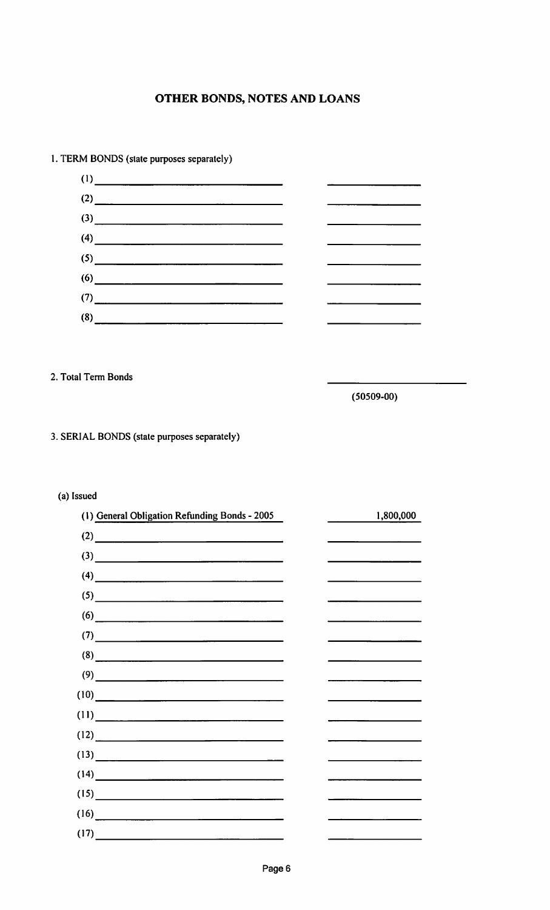

#### 1. TERM BONDS (state purposes separately)

2. Total Term Bonds

(50509-00)

#### 3. SERIAL BONDS (state purposes separately)

#### (a) Issued

| (1) General Obligation Refunding Bonds - 2005                                                                                                                                                                                                                                                                                                 | 1,800,000                                                                                                                                                                                                                            |
|-----------------------------------------------------------------------------------------------------------------------------------------------------------------------------------------------------------------------------------------------------------------------------------------------------------------------------------------------|--------------------------------------------------------------------------------------------------------------------------------------------------------------------------------------------------------------------------------------|
| $\overline{a}$ (2)                                                                                                                                                                                                                                                                                                                            | <u> The Common State of the Common State of the Common State of the Common State of the Common State of the Common State of the Common State of the Common State of the Common State of the Common State of the Common State of </u> |
| $\left(3\right)$ and $\left(3\right)$ and $\left(3\right)$ and $\left(3\right)$ and $\left(3\right)$ and $\left(3\right)$ and $\left(3\right)$ and $\left(3\right)$ and $\left(3\right)$ and $\left(3\right)$ and $\left(3\right)$ and $\left(3\right)$ and $\left(3\right)$ and $\left(3\right)$ and $\left(3\right)$ and $\left(3\right)$ a |                                                                                                                                                                                                                                      |
|                                                                                                                                                                                                                                                                                                                                               |                                                                                                                                                                                                                                      |
| $(5)$ and $(5)$ and $(5)$ and $(5)$ and $(5)$ and $(5)$ and $(5)$ and $(5)$ and $(5)$ and $(5)$ and $(5)$ and $(5)$ and $(5)$ and $(5)$ and $(5)$ and $(5)$ and $(5)$ and $(5)$ and $(5)$ and $(5)$ and $(5)$ and $(5)$ and                                                                                                                   |                                                                                                                                                                                                                                      |
| $\overline{a}$ (6)                                                                                                                                                                                                                                                                                                                            |                                                                                                                                                                                                                                      |
| $\frac{1}{2}$                                                                                                                                                                                                                                                                                                                                 | <u> 1980 - Jan Sterling Sterling Sterling Sterling Sterling Sterling Sterling Sterling Sterling Sterling Sterling Sterling Sterling Sterling Sterling Sterling Sterling Sterling Sterling Sterling Sterling Sterling Sterling St</u> |
| (8)                                                                                                                                                                                                                                                                                                                                           |                                                                                                                                                                                                                                      |
| (9)                                                                                                                                                                                                                                                                                                                                           |                                                                                                                                                                                                                                      |
| (10)                                                                                                                                                                                                                                                                                                                                          | the control of the control of the control of the control of the control of                                                                                                                                                           |
|                                                                                                                                                                                                                                                                                                                                               |                                                                                                                                                                                                                                      |
| (12)                                                                                                                                                                                                                                                                                                                                          |                                                                                                                                                                                                                                      |
| (13)                                                                                                                                                                                                                                                                                                                                          | the control of the control of the control of                                                                                                                                                                                         |
| (14)                                                                                                                                                                                                                                                                                                                                          |                                                                                                                                                                                                                                      |
| (15)                                                                                                                                                                                                                                                                                                                                          |                                                                                                                                                                                                                                      |
| (16)                                                                                                                                                                                                                                                                                                                                          |                                                                                                                                                                                                                                      |
| (17)                                                                                                                                                                                                                                                                                                                                          |                                                                                                                                                                                                                                      |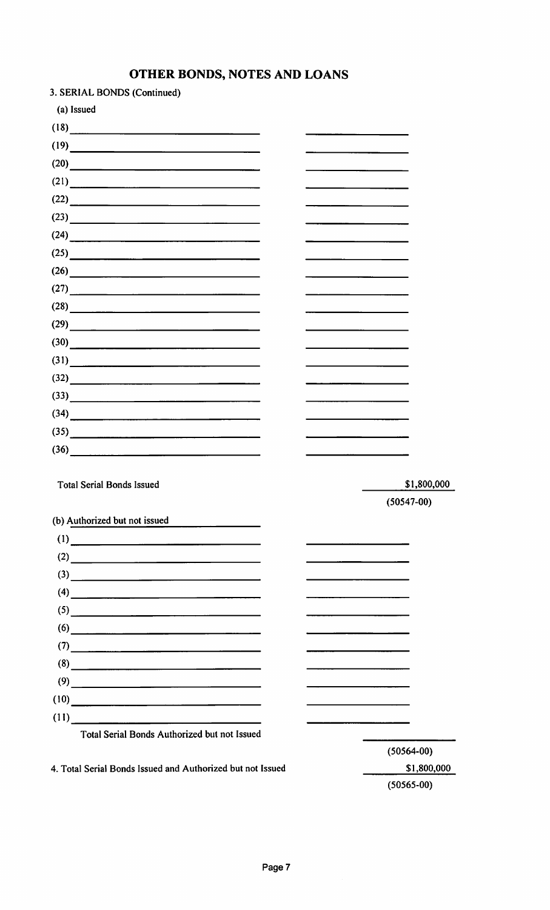| 3. SERIAL BONDS (Continued)                                                                                                                                                                                                                                                                                                                                           |                |  |
|-----------------------------------------------------------------------------------------------------------------------------------------------------------------------------------------------------------------------------------------------------------------------------------------------------------------------------------------------------------------------|----------------|--|
| (a) Issued                                                                                                                                                                                                                                                                                                                                                            |                |  |
| (18)                                                                                                                                                                                                                                                                                                                                                                  |                |  |
| (19)                                                                                                                                                                                                                                                                                                                                                                  |                |  |
| $(20)$                                                                                                                                                                                                                                                                                                                                                                |                |  |
| (21)                                                                                                                                                                                                                                                                                                                                                                  |                |  |
| $(22)$                                                                                                                                                                                                                                                                                                                                                                |                |  |
| $(23) \qquad \qquad \overbrace{\qquad \qquad }$                                                                                                                                                                                                                                                                                                                       |                |  |
| (24)                                                                                                                                                                                                                                                                                                                                                                  |                |  |
| $(25)$                                                                                                                                                                                                                                                                                                                                                                |                |  |
| (26)                                                                                                                                                                                                                                                                                                                                                                  |                |  |
| (27)                                                                                                                                                                                                                                                                                                                                                                  |                |  |
| $(28) \qquad \qquad \overbrace{\qquad \qquad }$                                                                                                                                                                                                                                                                                                                       |                |  |
| $(29)$                                                                                                                                                                                                                                                                                                                                                                |                |  |
| $(30)$                                                                                                                                                                                                                                                                                                                                                                |                |  |
| (31)                                                                                                                                                                                                                                                                                                                                                                  |                |  |
| $(32)$                                                                                                                                                                                                                                                                                                                                                                |                |  |
| $(33)$                                                                                                                                                                                                                                                                                                                                                                |                |  |
|                                                                                                                                                                                                                                                                                                                                                                       |                |  |
| $(35)$                                                                                                                                                                                                                                                                                                                                                                |                |  |
| $(36)$                                                                                                                                                                                                                                                                                                                                                                |                |  |
|                                                                                                                                                                                                                                                                                                                                                                       |                |  |
| <b>Total Serial Bonds Issued</b>                                                                                                                                                                                                                                                                                                                                      | \$1,800,000    |  |
|                                                                                                                                                                                                                                                                                                                                                                       | $(50547-00)$   |  |
| (b) Authorized but not issued                                                                                                                                                                                                                                                                                                                                         |                |  |
| $\frac{1}{2}$ (1)                                                                                                                                                                                                                                                                                                                                                     |                |  |
| $(2) \qquad \qquad \overbrace{\qquad \qquad }$                                                                                                                                                                                                                                                                                                                        |                |  |
| $\begin{picture}(3) \put(0,0) {\line(1,0){100}} \put(15,0) {\line(1,0){100}} \put(15,0) {\line(1,0){100}} \put(15,0) {\line(1,0){100}} \put(15,0) {\line(1,0){100}} \put(15,0) {\line(1,0){100}} \put(15,0) {\line(1,0){100}} \put(15,0) {\line(1,0){100}} \put(15,0) {\line(1,0){100}} \put(15,0) {\line(1,0){100}} \put(15,0) {\line(1,0){100}} \put(15$            |                |  |
| $\begin{picture}(4) \put(0,0){\vector(1,0){100}} \put(15,0){\vector(1,0){100}} \put(15,0){\vector(1,0){100}} \put(15,0){\vector(1,0){100}} \put(15,0){\vector(1,0){100}} \put(15,0){\vector(1,0){100}} \put(15,0){\vector(1,0){100}} \put(15,0){\vector(1,0){100}} \put(15,0){\vector(1,0){100}} \put(15,0){\vector(1,0){100}} \put(15,0){\vector(1,0){100}} \put(15$ |                |  |
| $(5)$ and $(5)$ and $(5)$ and $(5)$ and $(5)$ and $(5)$ and $(5)$ and $(5)$ and $(5)$ and $(5)$ and $(5)$ and $(5)$ and $(5)$ and $(5)$ and $(5)$ and $(5)$ and $(5)$ and $(5)$ and $(5)$ and $(5)$ and $(5)$ and $(5)$ and                                                                                                                                           |                |  |
| (6)                                                                                                                                                                                                                                                                                                                                                                   |                |  |
| $\tag{7}$                                                                                                                                                                                                                                                                                                                                                             |                |  |
| (8)                                                                                                                                                                                                                                                                                                                                                                   |                |  |
| $(9) \qquad \qquad \overbrace{\qquad \qquad }$                                                                                                                                                                                                                                                                                                                        |                |  |
| $(10)$                                                                                                                                                                                                                                                                                                                                                                |                |  |
| (11)                                                                                                                                                                                                                                                                                                                                                                  |                |  |
| Total Serial Bonds Authorized but not Issued                                                                                                                                                                                                                                                                                                                          |                |  |
|                                                                                                                                                                                                                                                                                                                                                                       | $(50564 - 00)$ |  |
| 4. Total Serial Bonds Issued and Authorized but not Issued                                                                                                                                                                                                                                                                                                            | \$1,800,000    |  |

(50565-00)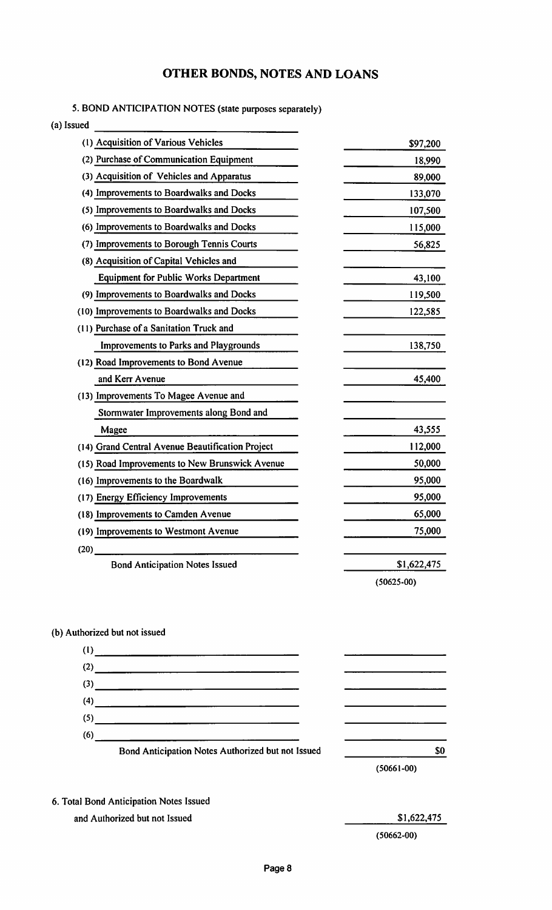#### 5. BOND ANTICIPATION NOTES (state purposes separately)

(a) Issued

| (1) Acquisition of Various Vehicles              | \$97,200       |
|--------------------------------------------------|----------------|
| (2) Purchase of Communication Equipment          | 18,990         |
| (3) Acquisition of Vehicles and Apparatus        | 89,000         |
| (4) Improvements to Boardwalks and Docks         | 133,070        |
| (5) Improvements to Boardwalks and Docks         | 107,500        |
| (6) Improvements to Boardwalks and Docks         | 115,000        |
| (7) Improvements to Borough Tennis Courts        | 56,825         |
| (8) Acquisition of Capital Vehicles and          |                |
| <b>Equipment for Public Works Department</b>     | 43,100         |
| (9) Improvements to Boardwalks and Docks         | 119,500        |
| (10) Improvements to Boardwalks and Docks        | 122,585        |
| (11) Purchase of a Sanitation Truck and          |                |
| Improvements to Parks and Playgrounds            | 138,750        |
| (12) Road Improvements to Bond Avenue            |                |
| and Kerr Avenue                                  | 45,400         |
| (13) Improvements To Magee Avenue and            |                |
| Stormwater Improvements along Bond and           |                |
| Magee                                            | 43,555         |
| (14) Grand Central Avenue Beautification Project | 112,000        |
| (15) Road Improvements to New Brunswick Avenue   | 50,000         |
| (16) Improvements to the Boardwalk               | 95,000         |
| (17) Energy Efficiency Improvements              | 95,000         |
| (18) Improvements to Camden Avenue               | 65,000         |
| (19) Improvements to Westmont Avenue             | 75,000         |
| (20)                                             |                |
| <b>Bond Anticipation Notes Issued</b>            | \$1,622,475    |
|                                                  | $(50625 - 00)$ |

#### (b) Authorized but not issued



- 6. Total Bond Anticipation Notes Issued
	- and Authorized but not Issued

\$1,622,475

(50662-00)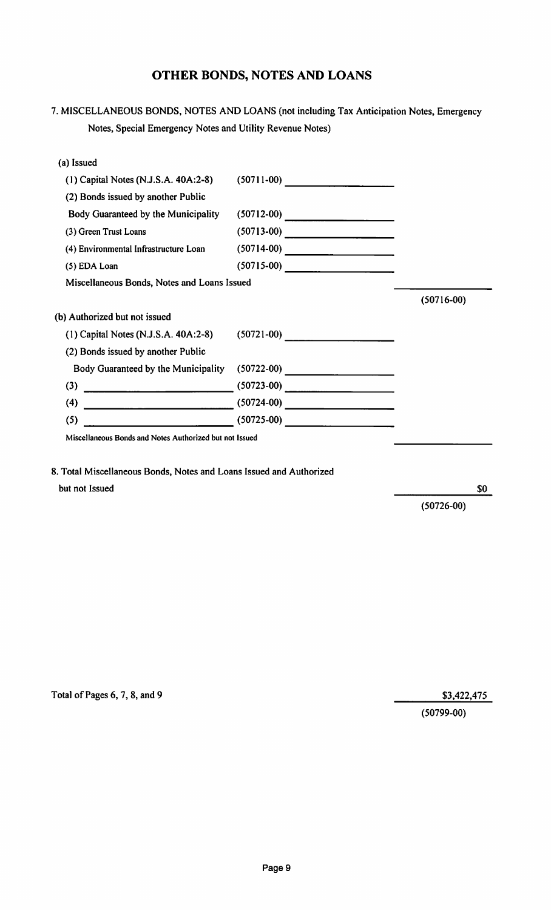7. MISCELLANEOUS BONDS, NOTES AND LOANS (not including Tax Anticipation Notes, Emergency Notes, Special Emergency Notes and Utility Revenue Notes)

| (a) Issued                                                                                                                  |              |                                                 |
|-----------------------------------------------------------------------------------------------------------------------------|--------------|-------------------------------------------------|
| $(1)$ Capital Notes (N.J.S.A. 40A:2-8)                                                                                      | $(50711-00)$ |                                                 |
| (2) Bonds issued by another Public                                                                                          |              |                                                 |
| Body Guaranteed by the Municipality                                                                                         | $(50712-00)$ | <u> 1980 - Johann Barnett, fransk politik (</u> |
| (3) Green Trust Loans                                                                                                       | $(50713-00)$ |                                                 |
| (4) Environmental Infrastructure Loan                                                                                       |              |                                                 |
| (5) EDA Loan                                                                                                                |              |                                                 |
| Miscellaneous Bonds, Notes and Loans Issued                                                                                 |              |                                                 |
|                                                                                                                             |              | $(50716-00)$                                    |
| (b) Authorized but not issued                                                                                               |              |                                                 |
| $(1)$ Capital Notes (N.J.S.A. 40A:2-8)                                                                                      |              |                                                 |
| (2) Bonds issued by another Public                                                                                          |              |                                                 |
| Body Guaranteed by the Municipality                                                                                         | $(50722-00)$ |                                                 |
| (3)                                                                                                                         | $(50723-00)$ |                                                 |
| <u> 1980 - Jan Barnett, martin de Barnett, martin de Barnett, martin de Barnett, martin de Barnett, martin de Ba</u><br>(4) |              |                                                 |
| (5)<br><u> 1980 - Johann Barbara, martin a</u>                                                                              | $(50725-00)$ |                                                 |
|                                                                                                                             |              |                                                 |

Miscellaneous Bonds and Notes Authorized but not Issued

8. Total Miscellaneous Bonds, Notes and Loans Issued and Authorized but not Issued

(50726-00)

\$0

Total of Pages 6, 7, 8, and 9 \$3,422,475

(50799-00)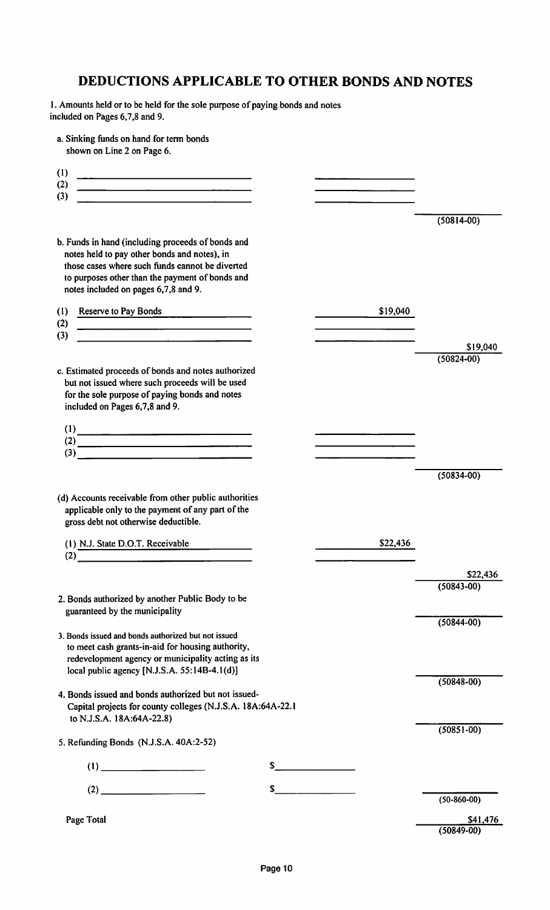# DEDUCTIONS APPLICABLE TO OTHER BONDS AND NOTES

1. Amounts held or to be held for the sole purpose of paying bonds and notes included on Pages 6,7,8 and 9.

a. Sinking funds on hand for term bonds shown on Line 2 on Page 6.

| (1)<br><u> 1989 - Johann Barbara, martin amerikan basal dan berasal dalam basal dalam basal dalam basal dalam basal dala</u><br>(2)<br><u> 1980 - Jan Sterling Sterling Sterling Sterling Sterling Sterling Sterling Sterling Sterling Sterling Sterling</u><br>(3) |    |          |                            |
|---------------------------------------------------------------------------------------------------------------------------------------------------------------------------------------------------------------------------------------------------------------------|----|----------|----------------------------|
|                                                                                                                                                                                                                                                                     |    |          | $(50814 - 00)$             |
| b. Funds in hand (including proceeds of bonds and<br>notes held to pay other bonds and notes), in<br>those cases where such funds cannot be diverted<br>to purposes other than the payment of bonds and<br>notes included on pages 6,7,8 and 9.                     |    |          |                            |
| Reserve to Pay Bonds<br>(1)<br>(2)<br><u> 1980 - Johann Barn, amerikan bestemannten bestemannten bestemannten bestemannten bestemannten bestemannten b</u>                                                                                                          |    | \$19,040 |                            |
| (3)<br><u> 1980 - Jan Stein Berlin, amerikansk politiker (</u>                                                                                                                                                                                                      |    |          | \$19,040                   |
| c. Estimated proceeds of bonds and notes authorized<br>but not issued where such proceeds will be used<br>for the sole purpose of paying bonds and notes<br>included on Pages 6,7,8 and 9.                                                                          |    |          | $(50824 - 00)$             |
| $\frac{1}{2}$<br>$\overline{a}$ (2)                                                                                                                                                                                                                                 |    |          |                            |
| $\overline{\hspace{1cm}}$ (3)                                                                                                                                                                                                                                       |    |          |                            |
|                                                                                                                                                                                                                                                                     |    |          | $(50834 - 00)$             |
| (d) Accounts receivable from other public authorities<br>applicable only to the payment of any part of the<br>gross debt not otherwise deductible.                                                                                                                  |    |          |                            |
| (1) N.J. State D.O.T. Receivable<br>(2)                                                                                                                                                                                                                             |    | \$22,436 |                            |
|                                                                                                                                                                                                                                                                     |    |          | \$22,436                   |
| 2. Bonds authorized by another Public Body to be<br>guaranteed by the municipality                                                                                                                                                                                  |    |          | $(50843 - 00)$             |
| 3. Bonds issued and bonds authorized but not issued<br>to meet cash grants-in-aid for housing authority,<br>redevelopment agency or municipality acting as its<br>local public agency [N.J.S.A. 55:14B-4.1(d)]                                                      |    |          | $(50844 - 00)$             |
| 4. Bonds issued and bonds authorized but not issued-<br>Capital projects for county colleges (N.J.S.A. 18A:64A-22.1<br>to N.J.S.A. 18A:64A-22.8)                                                                                                                    |    |          | $(50848 - 00)$             |
| 5. Refunding Bonds (N.J.S.A. 40A:2-52)                                                                                                                                                                                                                              |    |          | $(50851 - 00)$             |
| (1)                                                                                                                                                                                                                                                                 | S  |          |                            |
|                                                                                                                                                                                                                                                                     | \$ |          |                            |
|                                                                                                                                                                                                                                                                     |    |          | $(50-860-00)$              |
| Page Total                                                                                                                                                                                                                                                          |    |          | \$41,476<br>$(50849 - 00)$ |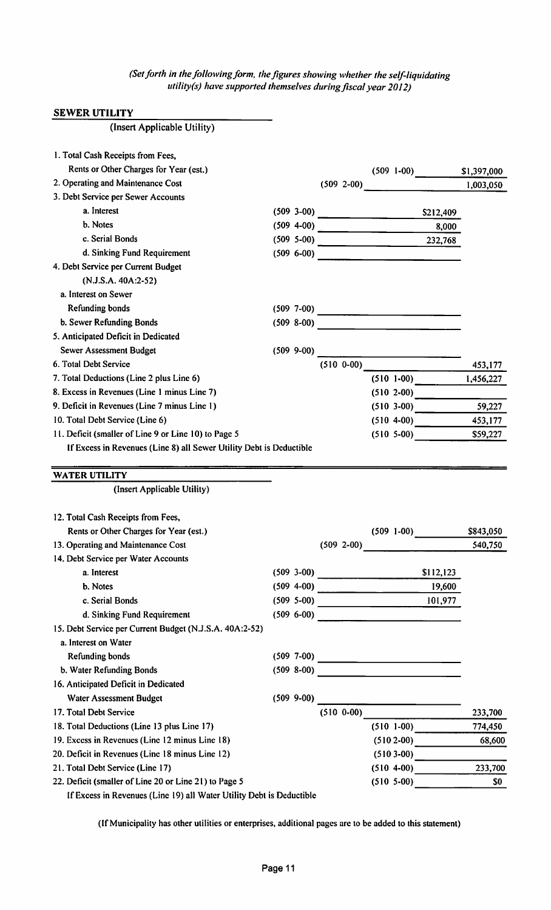(Set forth in the following form, the figures showing whether the self-liquidating utility (s) have supported themselves during fiscal year 2012)

#### SEWER UTILITY

| (Insert Applicable Utility)                                                  |                 |                |                                                                                                            |           |             |
|------------------------------------------------------------------------------|-----------------|----------------|------------------------------------------------------------------------------------------------------------|-----------|-------------|
| 1. Total Cash Receipts from Fees,                                            |                 |                |                                                                                                            |           |             |
| Rents or Other Charges for Year (est.)                                       |                 |                |                                                                                                            |           | \$1,397,000 |
| 2. Operating and Maintenance Cost                                            |                 |                | $(509 1-00)$<br>$(509 2-00)$                                                                               |           | 1,003,050   |
| 3. Debt Service per Sewer Accounts                                           |                 |                |                                                                                                            |           |             |
| a. Interest                                                                  |                 |                |                                                                                                            | S212,409  |             |
| b. Notes                                                                     |                 |                |                                                                                                            | 8,000     |             |
| c. Serial Bonds                                                              |                 |                | $(509 \t 5-00)$                                                                                            | 232,768   |             |
| d. Sinking Fund Requirement                                                  |                 |                | $(509 6-00)$                                                                                               |           |             |
| 4. Debt Service per Current Budget                                           |                 |                |                                                                                                            |           |             |
| (N.J.S.A. 40A:2-52)                                                          |                 |                |                                                                                                            |           |             |
| a. Interest on Sewer                                                         |                 |                |                                                                                                            |           |             |
| Refunding bonds                                                              |                 |                |                                                                                                            |           |             |
| b. Sewer Refunding Bonds                                                     |                 |                |                                                                                                            |           |             |
| 5. Anticipated Deficit in Dedicated                                          |                 |                |                                                                                                            |           |             |
| <b>Sewer Assessment Budget</b>                                               | $(509 \t 9-00)$ |                | <u> 1950 - Jan James James Barnett, pre</u>                                                                |           |             |
| 6. Total Debt Service                                                        |                 |                | $(510\ 0-00)$                                                                                              |           | 453,177     |
| 7. Total Deductions (Line 2 plus Line 6)                                     |                 |                | $(510 1-00)$                                                                                               |           | 1,456,227   |
| 8. Excess in Revenues (Line 1 minus Line 7)                                  |                 |                | $(510 2-00)$                                                                                               |           |             |
| 9. Deficit in Revenues (Line 7 minus Line 1)                                 |                 |                | $(510\ 3-00)$ 59,227                                                                                       |           |             |
| 10. Total Debt Service (Line 6)                                              |                 |                | $(510 4-00)$                                                                                               |           | 453,177     |
| 11. Deficit (smaller of Line 9 or Line 10) to Page 5                         |                 |                | $(510 \t 5-00)$                                                                                            |           | \$59,227    |
| If Excess in Revenues (Line 8) all Sewer Utility Debt is Deductible          |                 |                |                                                                                                            |           |             |
| <b>WATER UTILITY</b>                                                         |                 |                |                                                                                                            |           |             |
| (Insert Applicable Utility)                                                  |                 |                |                                                                                                            |           |             |
|                                                                              |                 |                |                                                                                                            |           |             |
| 12. Total Cash Receipts from Fees,<br>Rents or Other Charges for Year (est.) |                 |                | $(509 1-00)$                                                                                               |           | \$843,050   |
| 13. Operating and Maintenance Cost                                           |                 | $(509 \t2-00)$ |                                                                                                            |           | 540,750     |
| 14. Debt Service per Water Accounts                                          |                 |                |                                                                                                            |           |             |
| a. Interest                                                                  |                 |                |                                                                                                            | \$112,123 |             |
| b. Notes                                                                     |                 |                | $(509 \t3-00)$<br>$(509 4-00)$ 19,600                                                                      |           |             |
| c. Serial Bonds                                                              |                 |                | $(509 5-00)$ 101,977                                                                                       |           |             |
| d. Sinking Fund Requirement                                                  | $(509 6-00)$    |                |                                                                                                            |           |             |
| 15. Debt Service per Current Budget (N.J.S.A. 40A:2-52)                      |                 |                | <u> 1980 - Jan Barbara (j. 1980)</u>                                                                       |           |             |
| a. Interest on Water                                                         |                 |                |                                                                                                            |           |             |
| Refunding bonds                                                              |                 |                | $(509 \t 7-00)$                                                                                            |           |             |
| b. Water Refunding Bonds                                                     | $(509 8-00)$    |                | <u> 1989 - Johann Barbara, martin din sama sebagai pertama pertama pertama pertama pertama pertama per</u> |           |             |
| 16. Anticipated Deficit in Dedicated                                         |                 |                |                                                                                                            |           |             |
| Water Assessment Budget                                                      | $(509 \t 9-00)$ |                |                                                                                                            |           |             |
| 17. Total Debt Service                                                       |                 |                | $(510\ 0.00)$                                                                                              |           | 233,700     |
| 18. Total Deductions (Line 13 plus Line 17)                                  |                 |                | $(510 1-00)$                                                                                               |           | 774,450     |
| 19. Excess in Revenues (Line 12 minus Line 18)                               |                 |                | $(5102-00)$                                                                                                |           | 68,600      |
| 20. Deficit in Revenues (Line 18 minus Line 12)                              |                 |                | $(5103-00)$                                                                                                |           |             |
| 21. Total Debt Service (Line 17)                                             |                 |                | $(510 4-00)$                                                                                               |           | 233,700     |
| 22. Deficit (smaller of Line 20 or Line 21) to Page 5                        |                 |                | $(510 \t5-00)$                                                                                             |           | \$0         |
|                                                                              |                 |                |                                                                                                            |           |             |

If Excess in Revenues (Line 19) all Water Utility Debt is Deductible

(If Municipality has other utilities or enterprises, additional pages are to be added to this statement)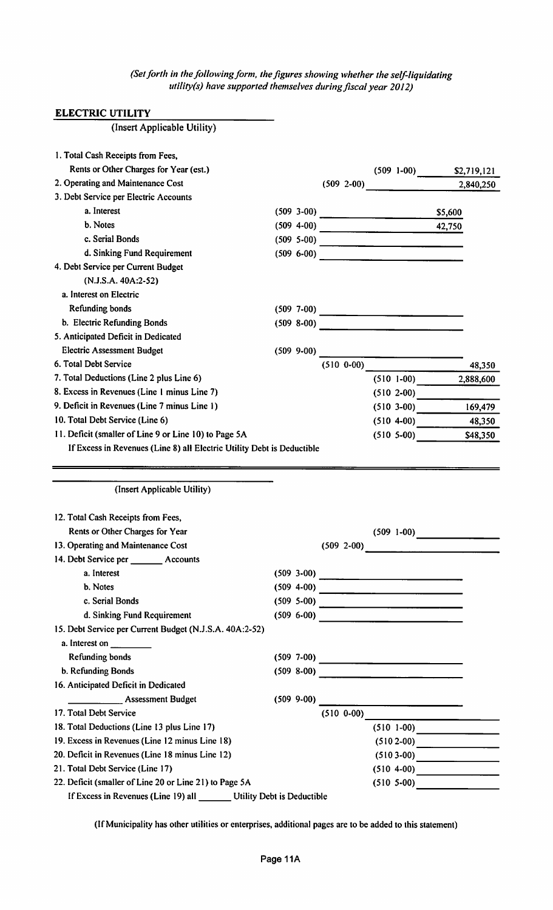(Set forth in the following form, the figures showing whether the self-liquidating utility(s) have supported themselves during fiscal year 2012)

#### ELECTRIC UTILITY

| (Insert Applicable Utility)                                                                         |  |                                  |                                              |                                         |           |
|-----------------------------------------------------------------------------------------------------|--|----------------------------------|----------------------------------------------|-----------------------------------------|-----------|
|                                                                                                     |  |                                  |                                              |                                         |           |
| 1. Total Cash Receipts from Fees,                                                                   |  |                                  |                                              |                                         |           |
| Rents or Other Charges for Year (est.)                                                              |  |                                  |                                              |                                         |           |
| 2. Operating and Maintenance Cost                                                                   |  |                                  | $(509 \t2-00)$                               |                                         | 2,840,250 |
| 3. Debt Service per Electric Accounts                                                               |  |                                  |                                              |                                         |           |
| a. Interest                                                                                         |  |                                  | $(509 \t3-00)$                               | \$5,600                                 |           |
| b. Notes                                                                                            |  |                                  | $(509 4-00)$                                 | 42,750                                  |           |
| c. Serial Bonds                                                                                     |  |                                  | $(509 \t5-00)$                               |                                         |           |
| d. Sinking Fund Requirement                                                                         |  |                                  | $(509 6-00)$                                 |                                         |           |
| 4. Debt Service per Current Budget                                                                  |  |                                  |                                              |                                         |           |
| (N.J.S.A. 40A:2-52)                                                                                 |  |                                  |                                              |                                         |           |
| a. Interest on Electric                                                                             |  |                                  |                                              |                                         |           |
| <b>Refunding bonds</b>                                                                              |  |                                  |                                              |                                         |           |
| b. Electric Refunding Bonds                                                                         |  |                                  | $(509 8-00)$                                 |                                         |           |
| 5. Anticipated Deficit in Dedicated                                                                 |  |                                  |                                              |                                         |           |
| <b>Electric Assessment Budget</b>                                                                   |  |                                  | $(509\ 9-00)$                                |                                         |           |
| 6. Total Debt Service                                                                               |  | $(510\ 0-00)$                    |                                              |                                         | 48,350    |
| 7. Total Deductions (Line 2 plus Line 6)                                                            |  |                                  | $(510 1-00)$                                 |                                         | 2,888,600 |
| 8. Excess in Revenues (Line 1 minus Line 7)                                                         |  |                                  | $(510 \t2-00)$                               |                                         |           |
| 9. Deficit in Revenues (Line 7 minus Line 1)                                                        |  |                                  | $(510 \t3-00)$                               |                                         | 169,479   |
| 10. Total Debt Service (Line 6)                                                                     |  |                                  | $(510 4-00)$ 48,350                          |                                         |           |
| 11. Deficit (smaller of Line 9 or Line 10) to Page 5A                                               |  |                                  | $(510 \t5-00)$                               |                                         | \$48,350  |
| If Excess in Revenues (Line 8) all Electric Utility Debt is Deductible                              |  |                                  |                                              |                                         |           |
|                                                                                                     |  |                                  |                                              |                                         |           |
|                                                                                                     |  |                                  |                                              |                                         |           |
| (Insert Applicable Utility)                                                                         |  |                                  |                                              |                                         |           |
| 12. Total Cash Receipts from Fees,                                                                  |  |                                  |                                              |                                         |           |
| Rents or Other Charges for Year                                                                     |  |                                  | $(509 \t1-00)$                               |                                         |           |
| 13. Operating and Maintenance Cost                                                                  |  |                                  | $(509 2-00)$                                 | <u> 1989 - Johann Barbara, martin a</u> |           |
| 14. Debt Service per ________ Accounts                                                              |  |                                  |                                              |                                         |           |
| a. Interest                                                                                         |  |                                  |                                              |                                         |           |
| b. Notes                                                                                            |  |                                  |                                              |                                         |           |
| c. Serial Bonds                                                                                     |  |                                  |                                              |                                         |           |
| d. Sinking Fund Requirement                                                                         |  |                                  |                                              |                                         |           |
| 15. Debt Service per Current Budget (N.J.S.A. 40A:2-52)                                             |  |                                  |                                              |                                         |           |
| a. Interest on $\frac{1}{\sqrt{1-\frac{1}{2}}}\left\vert \frac{1}{\sqrt{1-\frac{1}{2}}}\right\vert$ |  |                                  |                                              |                                         |           |
| <b>Refunding bonds</b>                                                                              |  |                                  |                                              |                                         |           |
| b. Refunding Bonds                                                                                  |  |                                  |                                              |                                         |           |
| 16. Anticipated Deficit in Dedicated                                                                |  |                                  |                                              |                                         |           |
|                                                                                                     |  |                                  |                                              |                                         |           |
| Assessment Budget<br>17. Total Debt Service                                                         |  | $(509\ 9-00)$<br>$(510 \t 0-00)$ | <u> 1980 - Jan Samuel Barbara, martin di</u> |                                         |           |
|                                                                                                     |  |                                  |                                              |                                         |           |
| 18. Total Deductions (Line 13 plus Line 17)                                                         |  |                                  | $(510 1-00)$                                 |                                         |           |
| 19. Excess in Revenues (Line 12 minus Line 18)<br>20. Deficit in Revenues (Line 18 minus Line 12)   |  |                                  |                                              | $(5102-00)$                             |           |
|                                                                                                     |  |                                  |                                              | $(5103-00)$                             |           |
| 21. Total Debt Service (Line 17)                                                                    |  |                                  |                                              |                                         |           |
| 22. Deficit (smaller of Line 20 or Line 21) to Page 5A                                              |  |                                  | $(510 \t5-00)$                               |                                         |           |

If Excess in Revenues (Line 19) all Utility Debt is Deductible

(If Municipality has other utilities or enterprises, additional pages are to be added to this statement)